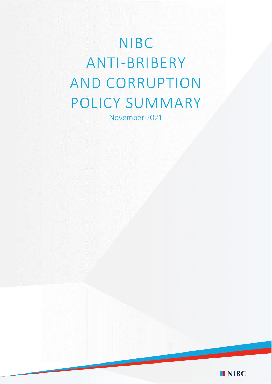# NIBC ANTI-BRIBERY AND CORRUPTION POLICY SUMMARY

November 2021

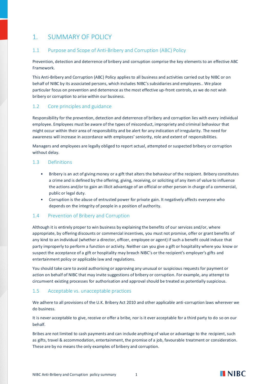# 1. SUMMARY OF POLICY

# 1.1 Purpose and Scope of Anti-Bribery and Corruption (ABC) Policy

Prevention, detection and deterrence of bribery and corruption comprise the key elements to an effective ABC Framework.

This Anti-Bribery and Corruption (ABC) Policy applies to all business and activities carried out by NIBC or on behalf of NIBC by its associated persons, which includes NIBC's subsidiaries and employees.. We place particular focus on prevention and deterrence as the most effective up-front controls, as we do not wish bribery or corruption to arise within our business.

# 1.2 Core principles and guidance

Responsibility for the prevention, detection and deterrence of bribery and corruption lies with every individual employee. Employees must be aware of the types of misconduct, impropriety and criminal behaviour that might occur within their area of responsibility and be alert for any indication of irregularity. The need for awareness will increase in accordance with employees' seniority, role and extent of responsibilities.

Managers and employees are legally obliged to report actual, attempted or suspected bribery or corruption without delay.

## 1.3 Definitions

- Bribery is an act of giving money or a gift that alters the behaviour of the recipient. Bribery constitutes a crime and is defined by the offering, giving, receiving, or soliciting of any item of value to influence the actions and/or to gain an illicit advantage of an official or other person in charge of a commercial, public or legal duty.
- Corruption is the abuse of entrusted power for private gain. It negatively affects everyone who depends on the integrity of people in a position of authority.

## 1.4 Prevention of Bribery and Corruption

Although it is entirely proper to win business by explaining the benefits of our services and/or, where appropriate, by offering discounts or commercial incentives, you must not promise, offer or grant benefits of any kind to an individual (whether a director, officer, employee or agent) if such a benefit could induce that party improperly to perform a function or activity. Neither can you give a gift or hospitality where you know or suspect the acceptance of a gift or hospitality may breach NIBC's or the recipient's employer's gifts and entertainment policy or applicable law and regulations.

You should take care to avoid authorising or approving any unusual or suspicious requests for payment or action on behalf of NIBC that may invite suggestions of bribery or corruption. For example, any attempt to circumvent existing processes for authorisation and approval should be treated as potentially suspicious.

## 1.5 Acceptable vs. unacceptable practices

We adhere to all provisions of the U.K. Bribery Act 2010 and other applicable anti-corruption laws wherever we do business.

It is never acceptable to give, receive or offer a bribe, nor is it ever acceptable for a third party to do so on our behalf.

Bribes are not limited to cash payments and can include anything of value or advantage to the recipient, such as gifts, travel & accommodation, entertainment, the promise of a job, favourable treatment or consideration. These are by no means the only examples of bribery and corruption.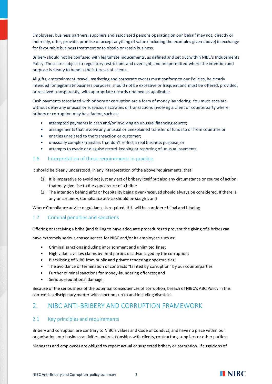Employees, business partners, suppliers and associated persons operating on our behalf may not, directly or indirectly, offer, provide, promise or accept anything of value (including the examples given above) in exchange for favourable business treatment or to obtain or retain business.

Bribery should not be confused with legitimate inducements, as defined and set out within NIBC's Inducements Policy. These are subject to regulatory restrictions and oversight, and are permitted where the intention and purpose is clearly to benefit the interests of clients.

All gifts, entertainment, travel, marketing and corporate events must conform to our Policies, be clearly intended for legitimate business purposes, should not be excessive or frequent and must be offered, provided, or received transparently, with appropriate records retained as applicable.

Cash payments associated with bribery or corruption are a form of money laundering. You must escalate without delay any unusual or suspicious activities or transactions involving a client or counterparty where bribery or corruption may be a factor, such as:

- attempted payments in cash and/or involving an unusual financing source;
- arrangements that involve any unusual or unexplained transfer of funds to or from countries or
- entities unrelated to the transaction or customer;
- unusually complex transfers that don't reflect a real business purpose; or
- attempts to evade or disguise record-keeping or reporting of unusual payments.

#### 1.6 Interpretation of these requirements in practice

It should be clearly understood, in any interpretation of the above requirements, that:

- (1) It is imperative to avoid not just any act of bribery itself but also any circumstance or course of action that may give rise to the appearance of a bribe;
- (2) The intention behind gifts or hospitality being given/received should always be considered. If there is any uncertainty, Compliance advice should be sought: and

Where Compliance advice or guidance is required, this will be considered final and binding.

## 1.7 Criminal penalties and sanctions

Offering or receiving a bribe (and failing to have adequate procedures to prevent the giving of a bribe) can

have extremely serious consequences for NIBC and/or its employees such as:

- Criminal sanctions including imprisonment and unlimited fines;
- High value civil law claims by third parties disadvantaged by the corruption;
- Blacklisting of NIBC from public and private tendering opportunities;
- The avoidance or termination of contracts "tainted by corruption" by our counterparties
- Further criminal sanctions for money-laundering offences; and
- Serious reputational damage.

Because of the seriousness of the potential consequences of corruption, breach of NIBC's ABC Policy in this context is a disciplinary matter with sanctions up to and including dismissal.

# 2. NIBC ANTI-BRIBERY AND CORRUPTION FRAMEWORK

## 2.1 Key principles and requirements

Bribery and corruption are contrary to NIBC's values and Code of Conduct, and have no place within our organisation, our business activities and relationships with clients, contractors, suppliers or other parties.

Managers and employees are obliged to report actual or suspected bribery or corruption. If suspicions of